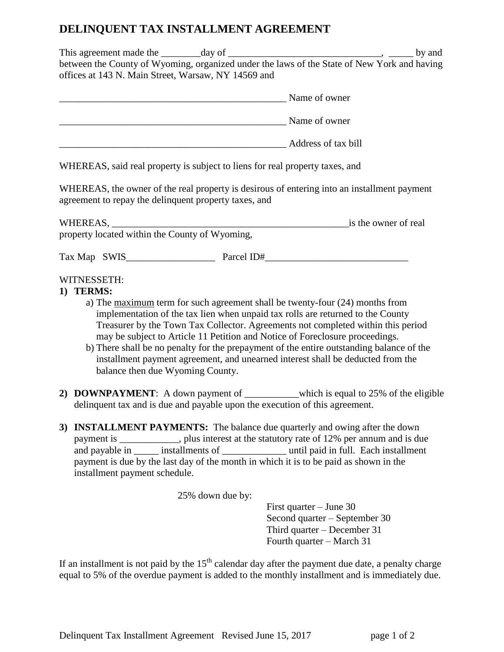## **DELINQUENT TAX INSTALLMENT AGREEMENT**

This agreement made the \_\_\_\_\_\_\_\_day of \_\_\_\_\_\_\_\_\_\_\_\_\_\_\_\_\_\_\_\_\_\_\_\_\_\_\_\_\_\_\_, \_\_\_\_\_ by and between the County of Wyoming, organized under the laws of the State of New York and having offices at 143 N. Main Street, Warsaw, NY 14569 and

| Name of owner       |
|---------------------|
| Name of owner       |
| Address of tax bill |

WHEREAS, said real property is subject to liens for real property taxes, and

WHEREAS, the owner of the real property is desirous of entering into an installment payment agreement to repay the delinquent property taxes, and

| WHEREAS,                                       | is the owner of real |
|------------------------------------------------|----------------------|
| property located within the County of Wyoming, |                      |

| Tax Map | <b>SWIS</b> | arcel ID# |
|---------|-------------|-----------|
|---------|-------------|-----------|

## WITNESSETH:

- **1) TERMS:**
	- a) The maximum term for such agreement shall be twenty-four (24) months from implementation of the tax lien when unpaid tax rolls are returned to the County Treasurer by the Town Tax Collector. Agreements not completed within this period may be subject to Article 11 Petition and Notice of Foreclosure proceedings.
	- b) There shall be no penalty for the prepayment of the entire outstanding balance of the installment payment agreement, and unearned interest shall be deducted from the balance then due Wyoming County.
- **2) DOWNPAYMENT**: A down payment of \_\_\_\_\_\_\_\_\_\_\_which is equal to 25% of the eligible delinquent tax and is due and payable upon the execution of this agreement.
- **3) INSTALLMENT PAYMENTS:** The balance due quarterly and owing after the down payment is \_\_\_\_\_\_\_\_\_\_\_\_, plus interest at the statutory rate of 12% per annum and is due and payable in installments of **and payable in** installments of **a** until paid in full. Each installment payment is due by the last day of the month in which it is to be paid as shown in the installment payment schedule.

25% down due by:

First quarter – June 30 Second quarter – September 30 Third quarter – December 31 Fourth quarter – March 31

If an installment is not paid by the  $15<sup>th</sup>$  calendar day after the payment due date, a penalty charge equal to 5% of the overdue payment is added to the monthly installment and is immediately due.